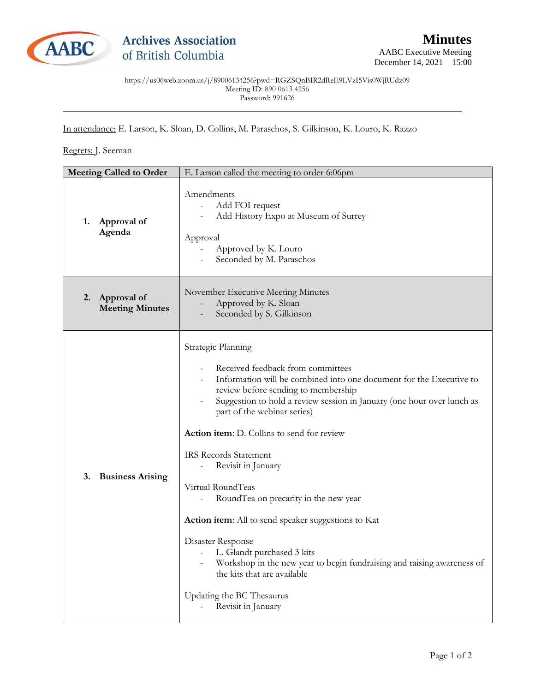

https://us06web.zoom.us/j/89006134256?pwd=RGZSQnBIR2dReE9LVzI5Vis0WjRUdz09 Meeting ID: 890 0613 4256 Password: 991626

\_\_\_\_\_\_\_\_\_\_\_\_\_\_\_\_\_\_\_\_\_\_\_\_\_\_\_\_\_\_\_\_\_\_\_\_\_\_\_\_\_\_\_\_\_\_\_\_\_\_\_\_\_\_\_\_\_\_\_\_\_\_\_\_\_\_\_\_\_\_\_\_\_\_\_\_\_\_\_\_\_\_\_

In attendance: E. Larson, K. Sloan, D. Collins, M. Paraschos, S. Gilkinson, K. Louro, K. Razzo

## Regrets: J. Seeman

| <b>Meeting Called to Order</b> |                                       | E. Larson called the meeting to order 6:06pm                                                                                                                                                                                                                                                                                                                                                                                                                                                                                                                                                                                                                                                                                  |
|--------------------------------|---------------------------------------|-------------------------------------------------------------------------------------------------------------------------------------------------------------------------------------------------------------------------------------------------------------------------------------------------------------------------------------------------------------------------------------------------------------------------------------------------------------------------------------------------------------------------------------------------------------------------------------------------------------------------------------------------------------------------------------------------------------------------------|
| 1.                             | Approval of<br>Agenda                 | Amendments<br>Add FOI request<br>$\overline{\phantom{a}}$<br>Add History Expo at Museum of Surrey<br>Approval<br>Approved by K. Louro<br>$\overline{\phantom{a}}$<br>Seconded by M. Paraschos                                                                                                                                                                                                                                                                                                                                                                                                                                                                                                                                 |
| 2.                             | Approval of<br><b>Meeting Minutes</b> | November Executive Meeting Minutes<br>Approved by K. Sloan<br>Seconded by S. Gilkinson                                                                                                                                                                                                                                                                                                                                                                                                                                                                                                                                                                                                                                        |
| 3.                             | <b>Business Arising</b>               | Strategic Planning<br>Received feedback from committees<br>Information will be combined into one document for the Executive to<br>review before sending to membership<br>Suggestion to hold a review session in January (one hour over lunch as<br>part of the webinar series)<br>Action item: D. Collins to send for review<br><b>IRS Records Statement</b><br>Revisit in January<br>Virtual RoundTeas<br>RoundTea on precarity in the new year<br><b>Action item:</b> All to send speaker suggestions to Kat<br>Disaster Response<br>L. Glandt purchased 3 kits<br>Workshop in the new year to begin fundraising and raising awareness of<br>the kits that are available<br>Updating the BC Thesaurus<br>Revisit in January |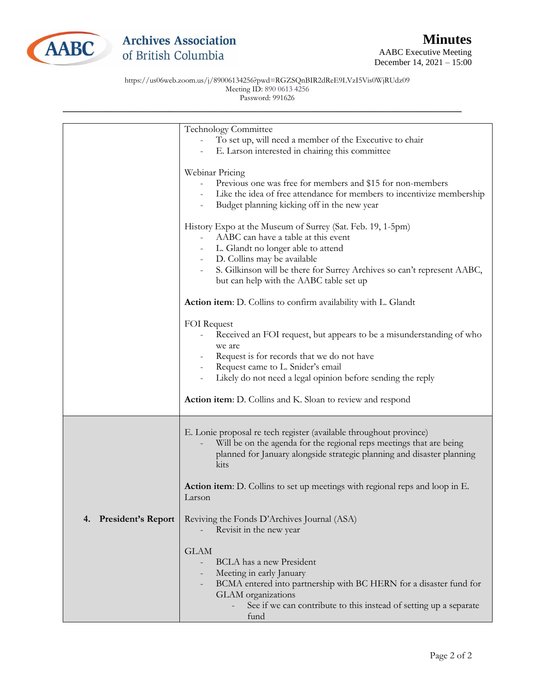

https://us06web.zoom.us/j/89006134256?pwd=RGZSQnBIR2dReE9LVzI5Vis0WjRUdz09 Meeting ID: 890 0613 4256 Password: 991626

\_\_\_\_\_\_\_\_\_\_\_\_\_\_\_\_\_\_\_\_\_\_\_\_\_\_\_\_\_\_\_\_\_\_\_\_\_\_\_\_\_\_\_\_\_\_\_\_\_\_\_\_\_\_\_\_\_\_\_\_\_\_\_\_\_\_\_\_\_\_\_\_\_\_\_\_\_\_\_\_\_\_\_

|                                 | Technology Committee<br>To set up, will need a member of the Executive to chair<br>E. Larson interested in chairing this committee                                                                                                                                              |
|---------------------------------|---------------------------------------------------------------------------------------------------------------------------------------------------------------------------------------------------------------------------------------------------------------------------------|
|                                 | Webinar Pricing<br>Previous one was free for members and \$15 for non-members<br>Like the idea of free attendance for members to incentivize membership<br>Budget planning kicking off in the new year                                                                          |
|                                 | History Expo at the Museum of Surrey (Sat. Feb. 19, 1-5pm)<br>AABC can have a table at this event<br>L. Glandt no longer able to attend<br>- D. Collins may be available<br>S. Gilkinson will be there for Surrey Archives so can't represent AABC,                             |
|                                 | but can help with the AABC table set up<br>Action item: D. Collins to confirm availability with L. Glandt                                                                                                                                                                       |
|                                 | FOI Request<br>Received an FOI request, but appears to be a misunderstanding of who<br>we are<br>Request is for records that we do not have<br>Request came to L. Snider's email<br>Likely do not need a legal opinion before sending the reply                                 |
|                                 | Action item: D. Collins and K. Sloan to review and respond                                                                                                                                                                                                                      |
|                                 | E. Lonie proposal re tech register (available throughout province)<br>Will be on the agenda for the regional reps meetings that are being<br>planned for January alongside strategic planning and disaster planning<br>kits                                                     |
|                                 | <b>Action item:</b> D. Collins to set up meetings with regional reps and loop in E.<br>Larson                                                                                                                                                                                   |
| <b>President's Report</b><br>4. | Reviving the Fonds D'Archives Journal (ASA)<br>Revisit in the new year                                                                                                                                                                                                          |
|                                 | <b>GLAM</b><br><b>BCLA</b> has a new President<br>$\overline{\phantom{a}}$<br>Meeting in early January<br>BCMA entered into partnership with BC HERN for a disaster fund for<br>GLAM organizations<br>See if we can contribute to this instead of setting up a separate<br>fund |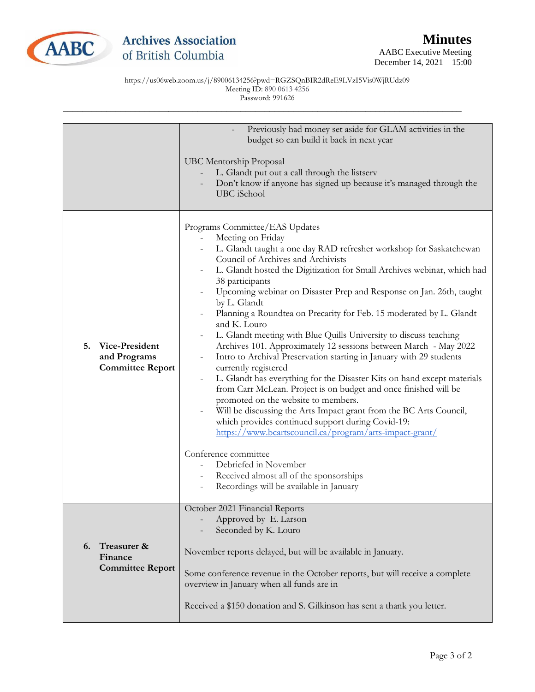

https://us06web.zoom.us/j/89006134256?pwd=RGZSQnBIR2dReE9LVzI5Vis0WjRUdz09 Meeting ID: 890 0613 4256 Password: 991626

\_\_\_\_\_\_\_\_\_\_\_\_\_\_\_\_\_\_\_\_\_\_\_\_\_\_\_\_\_\_\_\_\_\_\_\_\_\_\_\_\_\_\_\_\_\_\_\_\_\_\_\_\_\_\_\_\_\_\_\_\_\_\_\_\_\_\_\_\_\_\_\_\_\_\_\_\_\_\_\_\_\_\_

|                                                                 | Previously had money set aside for GLAM activities in the<br>budget so can build it back in next year<br><b>UBC Mentorship Proposal</b><br>L. Glandt put out a call through the listserv<br>Don't know if anyone has signed up because it's managed through the<br>UBC iSchool                                                                                                                                                                                                                                                                                                                                                                                                                                                                                                                                                                                                                                                                                                                                                                                                                                                                                                                                                     |
|-----------------------------------------------------------------|------------------------------------------------------------------------------------------------------------------------------------------------------------------------------------------------------------------------------------------------------------------------------------------------------------------------------------------------------------------------------------------------------------------------------------------------------------------------------------------------------------------------------------------------------------------------------------------------------------------------------------------------------------------------------------------------------------------------------------------------------------------------------------------------------------------------------------------------------------------------------------------------------------------------------------------------------------------------------------------------------------------------------------------------------------------------------------------------------------------------------------------------------------------------------------------------------------------------------------|
| Vice-President<br>5.<br>and Programs<br><b>Committee Report</b> | Programs Committee/EAS Updates<br>Meeting on Friday<br>$\overline{\phantom{a}}$<br>L. Glandt taught a one day RAD refresher workshop for Saskatchewan<br>Council of Archives and Archivists<br>L. Glandt hosted the Digitization for Small Archives webinar, which had<br>38 participants<br>Upcoming webinar on Disaster Prep and Response on Jan. 26th, taught<br>by L. Glandt<br>Planning a Roundtea on Precarity for Feb. 15 moderated by L. Glandt<br>and K. Louro<br>L. Glandt meeting with Blue Quills University to discuss teaching<br>Archives 101. Approximately 12 sessions between March - May 2022<br>Intro to Archival Preservation starting in January with 29 students<br>currently registered<br>L. Glandt has everything for the Disaster Kits on hand except materials<br>from Carr McLean. Project is on budget and once finished will be<br>promoted on the website to members.<br>Will be discussing the Arts Impact grant from the BC Arts Council,<br>which provides continued support during Covid-19:<br>https://www.bcartscouncil.ca/program/arts-impact-grant/<br>Conference committee<br>Debriefed in November<br>Received almost all of the sponsorships<br>Recordings will be available in January |
| Treasurer &<br>6.<br>Finance<br><b>Committee Report</b>         | October 2021 Financial Reports<br>Approved by E. Larson<br>Seconded by K. Louro<br>November reports delayed, but will be available in January.<br>Some conference revenue in the October reports, but will receive a complete<br>overview in January when all funds are in<br>Received a \$150 donation and S. Gilkinson has sent a thank you letter.                                                                                                                                                                                                                                                                                                                                                                                                                                                                                                                                                                                                                                                                                                                                                                                                                                                                              |